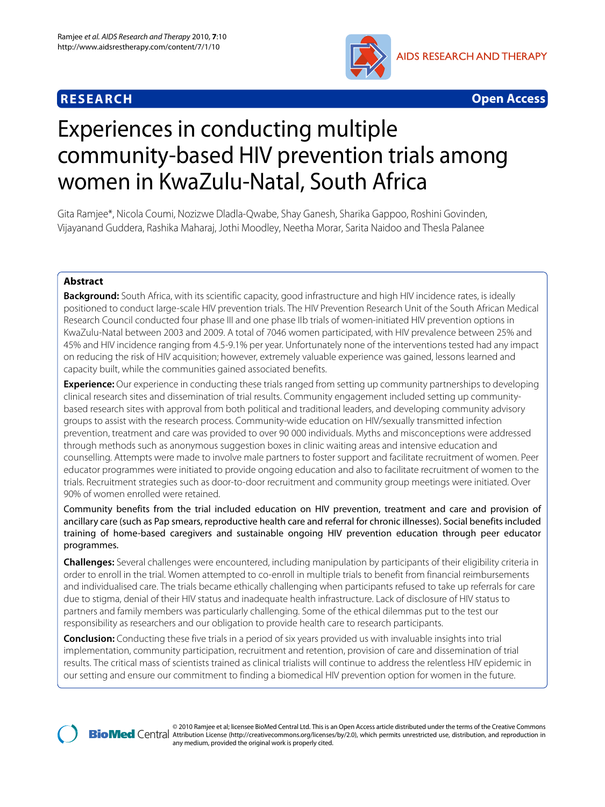



# Experiences in conducting multiple community-based HIV prevention trials among women in KwaZulu-Natal, South Africa

Gita Ramjee\*, Nicola Coumi, Nozizwe Dladla-Qwabe, Shay Ganesh, Sharika Gappoo, Roshini Govinden, Vijayanand Guddera, Rashika Maharaj, Jothi Moodley, Neetha Morar, Sarita Naidoo and Thesla Palanee

# **Abstract**

**Background:** South Africa, with its scientific capacity, good infrastructure and high HIV incidence rates, is ideally positioned to conduct large-scale HIV prevention trials. The HIV Prevention Research Unit of the South African Medical Research Council conducted four phase III and one phase IIb trials of women-initiated HIV prevention options in KwaZulu-Natal between 2003 and 2009. A total of 7046 women participated, with HIV prevalence between 25% and 45% and HIV incidence ranging from 4.5-9.1% per year. Unfortunately none of the interventions tested had any impact on reducing the risk of HIV acquisition; however, extremely valuable experience was gained, lessons learned and capacity built, while the communities gained associated benefits.

**Experience:** Our experience in conducting these trials ranged from setting up community partnerships to developing clinical research sites and dissemination of trial results. Community engagement included setting up communitybased research sites with approval from both political and traditional leaders, and developing community advisory groups to assist with the research process. Community-wide education on HIV/sexually transmitted infection prevention, treatment and care was provided to over 90 000 individuals. Myths and misconceptions were addressed through methods such as anonymous suggestion boxes in clinic waiting areas and intensive education and counselling. Attempts were made to involve male partners to foster support and facilitate recruitment of women. Peer educator programmes were initiated to provide ongoing education and also to facilitate recruitment of women to the trials. Recruitment strategies such as door-to-door recruitment and community group meetings were initiated. Over 90% of women enrolled were retained.

Community benefits from the trial included education on HIV prevention, treatment and care and provision of ancillary care (such as Pap smears, reproductive health care and referral for chronic illnesses). Social benefits included training of home-based caregivers and sustainable ongoing HIV prevention education through peer educator programmes.

**Challenges:** Several challenges were encountered, including manipulation by participants of their eligibility criteria in order to enroll in the trial. Women attempted to co-enroll in multiple trials to benefit from financial reimbursements and individualised care. The trials became ethically challenging when participants refused to take up referrals for care due to stigma, denial of their HIV status and inadequate health infrastructure. Lack of disclosure of HIV status to partners and family members was particularly challenging. Some of the ethical dilemmas put to the test our responsibility as researchers and our obligation to provide health care to research participants.

**Conclusion:** Conducting these five trials in a period of six years provided us with invaluable insights into trial implementation, community participation, recruitment and retention, provision of care and dissemination of trial results. The critical mass of scientists trained as clinical trialists will continue to address the relentless HIV epidemic in our setting and ensure our commitment to finding a biomedical HIV prevention option for women in the future.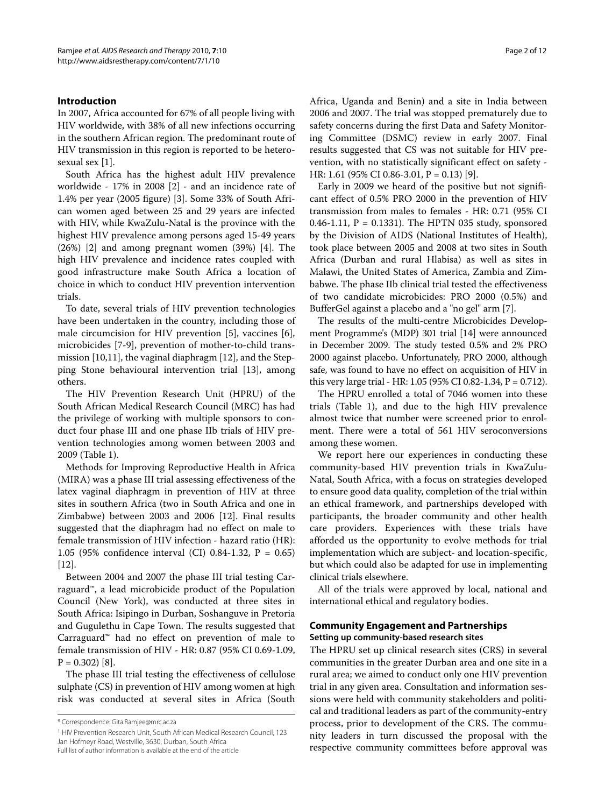#### **Introduction**

In 2007, Africa accounted for 67% of all people living with HIV worldwide, with 38% of all new infections occurring in the southern African region. The predominant route of HIV transmission in this region is reported to be heterosexual sex [[1\]](#page-10-0).

South Africa has the highest adult HIV prevalence worldwide - 17% in 2008 [[2\]](#page-10-1) - and an incidence rate of 1.4% per year (2005 figure) [[3\]](#page-10-2). Some 33% of South African women aged between 25 and 29 years are infected with HIV, while KwaZulu-Natal is the province with the highest HIV prevalence among persons aged 15-49 years (26%) [\[2](#page-10-1)] and among pregnant women (39%) [\[4](#page-10-3)]. The high HIV prevalence and incidence rates coupled with good infrastructure make South Africa a location of choice in which to conduct HIV prevention intervention trials.

To date, several trials of HIV prevention technologies have been undertaken in the country, including those of male circumcision for HIV prevention [[5\]](#page-10-4), vaccines [\[6](#page-10-5)], microbicides [[7-](#page-10-6)[9](#page-10-7)], prevention of mother-to-child transmission [[10,](#page-10-8)[11\]](#page-10-9), the vaginal diaphragm [\[12\]](#page-10-10), and the Stepping Stone behavioural intervention trial [\[13](#page-10-11)], among others.

The HIV Prevention Research Unit (HPRU) of the South African Medical Research Council (MRC) has had the privilege of working with multiple sponsors to conduct four phase III and one phase IIb trials of HIV prevention technologies among women between 2003 and 2009 (Table [1](#page-2-0)).

Methods for Improving Reproductive Health in Africa (MIRA) was a phase III trial assessing effectiveness of the latex vaginal diaphragm in prevention of HIV at three sites in southern Africa (two in South Africa and one in Zimbabwe) between 2003 and 2006 [[12\]](#page-10-10). Final results suggested that the diaphragm had no effect on male to female transmission of HIV infection - hazard ratio (HR): 1.05 (95% confidence interval (CI) 0.84-1.32, P = 0.65) [[12\]](#page-10-10).

Between 2004 and 2007 the phase III trial testing Carraguard™, a lead microbicide product of the Population Council (New York), was conducted at three sites in South Africa: Isipingo in Durban, Soshanguve in Pretoria and Gugulethu in Cape Town. The results suggested that Carraguard™ had no effect on prevention of male to female transmission of HIV - HR: 0.87 (95% CI 0.69-1.09,  $P = 0.302$  [\[8](#page-10-12)].

The phase III trial testing the effectiveness of cellulose sulphate (CS) in prevention of HIV among women at high risk was conducted at several sites in Africa (South

Africa, Uganda and Benin) and a site in India between 2006 and 2007. The trial was stopped prematurely due to safety concerns during the first Data and Safety Monitoring Committee (DSMC) review in early 2007. Final results suggested that CS was not suitable for HIV prevention, with no statistically significant effect on safety - HR: 1.61 (95% CI 0.86-3.01,  $P = 0.13$ ) [[9\]](#page-10-7).

Early in 2009 we heard of the positive but not significant effect of 0.5% PRO 2000 in the prevention of HIV transmission from males to females - HR: 0.71 (95% CI 0.46-1.11,  $P = 0.1331$ ). The HPTN 035 study, sponsored by the Division of AIDS (National Institutes of Health), took place between 2005 and 2008 at two sites in South Africa (Durban and rural Hlabisa) as well as sites in Malawi, the United States of America, Zambia and Zimbabwe. The phase IIb clinical trial tested the effectiveness of two candidate microbicides: PRO 2000 (0.5%) and BufferGel against a placebo and a "no gel" arm [[7\]](#page-10-6).

The results of the multi-centre Microbicides Development Programme's (MDP) 301 trial [[14](#page-10-13)] were announced in December 2009. The study tested 0.5% and 2% PRO 2000 against placebo. Unfortunately, PRO 2000, although safe, was found to have no effect on acquisition of HIV in this very large trial - HR: 1.05 (95% CI 0.82-1.34, P = 0.712).

The HPRU enrolled a total of 7046 women into these trials (Table 1), and due to the high HIV prevalence almost twice that number were screened prior to enrolment. There were a total of 561 HIV seroconversions among these women.

We report here our experiences in conducting these community-based HIV prevention trials in KwaZulu-Natal, South Africa, with a focus on strategies developed to ensure good data quality, completion of the trial within an ethical framework, and partnerships developed with participants, the broader community and other health care providers. Experiences with these trials have afforded us the opportunity to evolve methods for trial implementation which are subject- and location-specific, but which could also be adapted for use in implementing clinical trials elsewhere.

All of the trials were approved by local, national and international ethical and regulatory bodies.

#### **Community Engagement and Partnerships Setting up community-based research sites**

The HPRU set up clinical research sites (CRS) in several communities in the greater Durban area and one site in a rural area; we aimed to conduct only one HIV prevention trial in any given area. Consultation and information sessions were held with community stakeholders and political and traditional leaders as part of the community-entry process, prior to development of the CRS. The community leaders in turn discussed the proposal with the respective community committees before approval was

<sup>\*</sup> Correspondence: Gita.Ramjee@mrc.ac.za

<sup>1</sup> HIV Prevention Research Unit, South African Medical Research Council, 123 Jan Hofmeyr Road, Westville, 3630, Durban, South Africa

Full list of author information is available at the end of the article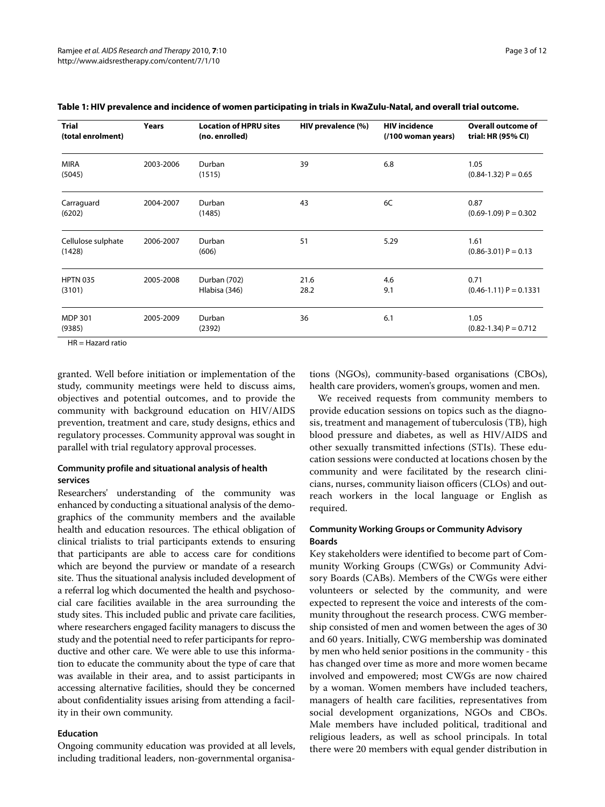| <b>Trial</b><br>(total enrolment) | Years     | <b>Location of HPRU sites</b><br>(no. enrolled) | HIV prevalence (%) | <b>HIV</b> incidence<br>(/100 woman years) | <b>Overall outcome of</b><br>trial: HR (95% CI) |
|-----------------------------------|-----------|-------------------------------------------------|--------------------|--------------------------------------------|-------------------------------------------------|
| <b>MIRA</b><br>(5045)             | 2003-2006 | Durban<br>(1515)                                | 39                 | 6.8                                        | 1.05<br>$(0.84-1.32)$ P = 0.65                  |
| Carraguard<br>(6202)              | 2004-2007 | Durban<br>(1485)                                | 43                 | 6C                                         | 0.87<br>$(0.69-1.09)$ P = 0.302                 |
| Cellulose sulphate<br>(1428)      | 2006-2007 | Durban<br>(606)                                 | 51                 | 5.29                                       | 1.61<br>$(0.86 - 3.01) P = 0.13$                |
| <b>HPTN 035</b><br>(3101)         | 2005-2008 | Durban (702)<br>Hlabisa (346)                   | 21.6<br>28.2       | 4.6<br>9.1                                 | 0.71<br>$(0.46 - 1.11) P = 0.1331$              |
| <b>MDP 301</b><br>(9385)          | 2005-2009 | Durban<br>(2392)                                | 36                 | 6.1                                        | 1.05<br>$(0.82 - 1.34)$ P = 0.712               |

<span id="page-2-0"></span>

| Table 1: HIV prevalence and incidence of women participating in trials in KwaZulu-Natal, and overall trial outcome. |  |  |
|---------------------------------------------------------------------------------------------------------------------|--|--|
|                                                                                                                     |  |  |

 $HR = Hazard ratio$ 

granted. Well before initiation or implementation of the study, community meetings were held to discuss aims, objectives and potential outcomes, and to provide the community with background education on HIV/AIDS prevention, treatment and care, study designs, ethics and regulatory processes. Community approval was sought in parallel with trial regulatory approval processes.

# **Community profile and situational analysis of health services**

Researchers' understanding of the community was enhanced by conducting a situational analysis of the demographics of the community members and the available health and education resources. The ethical obligation of clinical trialists to trial participants extends to ensuring that participants are able to access care for conditions which are beyond the purview or mandate of a research site. Thus the situational analysis included development of a referral log which documented the health and psychosocial care facilities available in the area surrounding the study sites. This included public and private care facilities, where researchers engaged facility managers to discuss the study and the potential need to refer participants for reproductive and other care. We were able to use this information to educate the community about the type of care that was available in their area, and to assist participants in accessing alternative facilities, should they be concerned about confidentiality issues arising from attending a facility in their own community.

#### **Education**

Ongoing community education was provided at all levels, including traditional leaders, non-governmental organisa-

tions (NGOs), community-based organisations (CBOs), health care providers, women's groups, women and men.

We received requests from community members to provide education sessions on topics such as the diagnosis, treatment and management of tuberculosis (TB), high blood pressure and diabetes, as well as HIV/AIDS and other sexually transmitted infections (STIs). These education sessions were conducted at locations chosen by the community and were facilitated by the research clinicians, nurses, community liaison officers (CLOs) and outreach workers in the local language or English as required.

# **Community Working Groups or Community Advisory Boards**

Key stakeholders were identified to become part of Community Working Groups (CWGs) or Community Advisory Boards (CABs). Members of the CWGs were either volunteers or selected by the community, and were expected to represent the voice and interests of the community throughout the research process. CWG membership consisted of men and women between the ages of 30 and 60 years. Initially, CWG membership was dominated by men who held senior positions in the community - this has changed over time as more and more women became involved and empowered; most CWGs are now chaired by a woman. Women members have included teachers, managers of health care facilities, representatives from social development organizations, NGOs and CBOs. Male members have included political, traditional and religious leaders, as well as school principals. In total there were 20 members with equal gender distribution in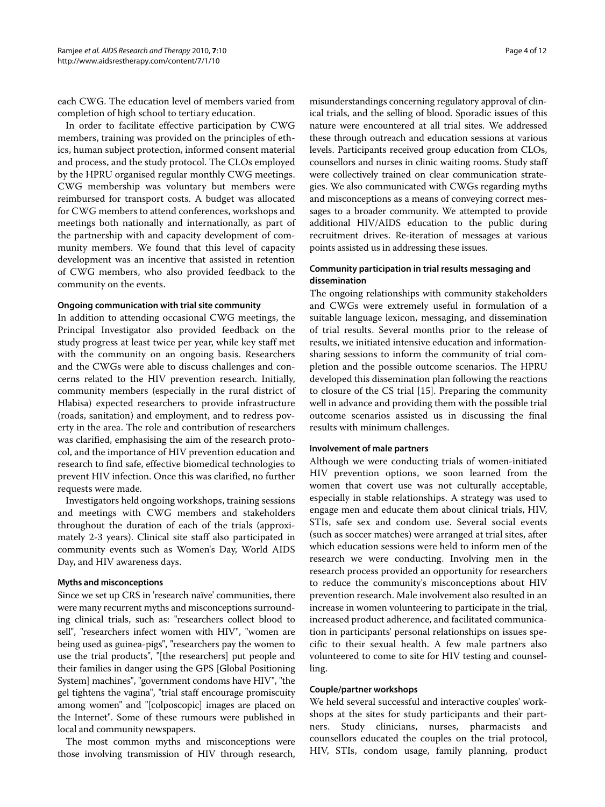each CWG. The education level of members varied from completion of high school to tertiary education.

In order to facilitate effective participation by CWG members, training was provided on the principles of ethics, human subject protection, informed consent material and process, and the study protocol. The CLOs employed by the HPRU organised regular monthly CWG meetings. CWG membership was voluntary but members were reimbursed for transport costs. A budget was allocated for CWG members to attend conferences, workshops and meetings both nationally and internationally, as part of the partnership with and capacity development of community members. We found that this level of capacity development was an incentive that assisted in retention of CWG members, who also provided feedback to the community on the events.

#### **Ongoing communication with trial site community**

In addition to attending occasional CWG meetings, the Principal Investigator also provided feedback on the study progress at least twice per year, while key staff met with the community on an ongoing basis. Researchers and the CWGs were able to discuss challenges and concerns related to the HIV prevention research. Initially, community members (especially in the rural district of Hlabisa) expected researchers to provide infrastructure (roads, sanitation) and employment, and to redress poverty in the area. The role and contribution of researchers was clarified, emphasising the aim of the research protocol, and the importance of HIV prevention education and research to find safe, effective biomedical technologies to prevent HIV infection. Once this was clarified, no further requests were made.

Investigators held ongoing workshops, training sessions and meetings with CWG members and stakeholders throughout the duration of each of the trials (approximately 2-3 years). Clinical site staff also participated in community events such as Women's Day, World AIDS Day, and HIV awareness days.

#### **Myths and misconceptions**

Since we set up CRS in 'research naïve' communities, there were many recurrent myths and misconceptions surrounding clinical trials, such as: "researchers collect blood to sell", "researchers infect women with HIV", "women are being used as guinea-pigs", "researchers pay the women to use the trial products", "[the researchers] put people and their families in danger using the GPS [Global Positioning System] machines", "government condoms have HIV", "the gel tightens the vagina", "trial staff encourage promiscuity among women" and "[colposcopic] images are placed on the Internet". Some of these rumours were published in local and community newspapers.

The most common myths and misconceptions were those involving transmission of HIV through research,

misunderstandings concerning regulatory approval of clinical trials, and the selling of blood. Sporadic issues of this nature were encountered at all trial sites. We addressed these through outreach and education sessions at various levels. Participants received group education from CLOs, counsellors and nurses in clinic waiting rooms. Study staff were collectively trained on clear communication strategies. We also communicated with CWGs regarding myths and misconceptions as a means of conveying correct messages to a broader community. We attempted to provide additional HIV/AIDS education to the public during recruitment drives. Re-iteration of messages at various points assisted us in addressing these issues.

# **Community participation in trial results messaging and dissemination**

The ongoing relationships with community stakeholders and CWGs were extremely useful in formulation of a suitable language lexicon, messaging, and dissemination of trial results. Several months prior to the release of results, we initiated intensive education and informationsharing sessions to inform the community of trial completion and the possible outcome scenarios. The HPRU developed this dissemination plan following the reactions to closure of the CS trial [[15\]](#page-10-14). Preparing the community well in advance and providing them with the possible trial outcome scenarios assisted us in discussing the final results with minimum challenges.

#### **Involvement of male partners**

Although we were conducting trials of women-initiated HIV prevention options, we soon learned from the women that covert use was not culturally acceptable, especially in stable relationships. A strategy was used to engage men and educate them about clinical trials, HIV, STIs, safe sex and condom use. Several social events (such as soccer matches) were arranged at trial sites, after which education sessions were held to inform men of the research we were conducting. Involving men in the research process provided an opportunity for researchers to reduce the community's misconceptions about HIV prevention research. Male involvement also resulted in an increase in women volunteering to participate in the trial, increased product adherence, and facilitated communication in participants' personal relationships on issues specific to their sexual health. A few male partners also volunteered to come to site for HIV testing and counselling.

#### **Couple/partner workshops**

We held several successful and interactive couples' workshops at the sites for study participants and their partners. Study clinicians, nurses, pharmacists and counsellors educated the couples on the trial protocol, HIV, STIs, condom usage, family planning, product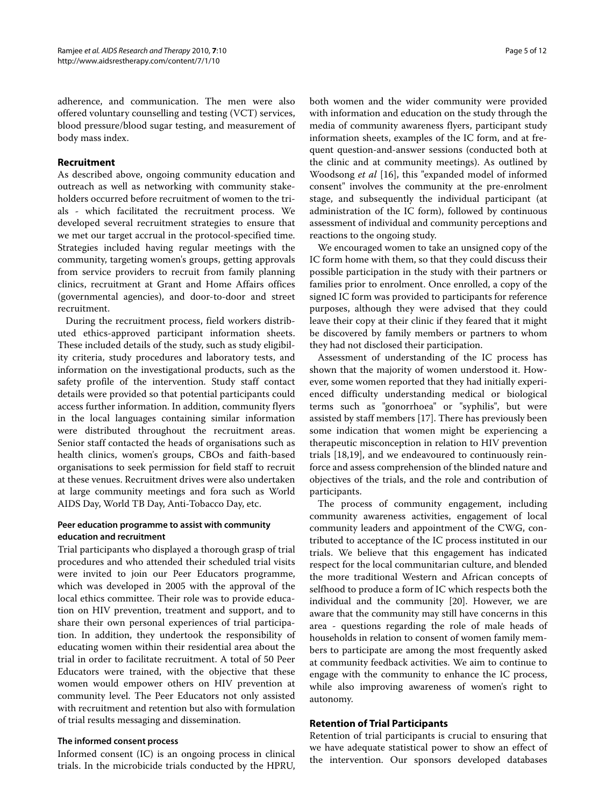adherence, and communication. The men were also offered voluntary counselling and testing (VCT) services, blood pressure/blood sugar testing, and measurement of body mass index.

# **Recruitment**

As described above, ongoing community education and outreach as well as networking with community stakeholders occurred before recruitment of women to the trials - which facilitated the recruitment process. We developed several recruitment strategies to ensure that we met our target accrual in the protocol-specified time. Strategies included having regular meetings with the community, targeting women's groups, getting approvals from service providers to recruit from family planning clinics, recruitment at Grant and Home Affairs offices (governmental agencies), and door-to-door and street recruitment.

During the recruitment process, field workers distributed ethics-approved participant information sheets. These included details of the study, such as study eligibility criteria, study procedures and laboratory tests, and information on the investigational products, such as the safety profile of the intervention. Study staff contact details were provided so that potential participants could access further information. In addition, community flyers in the local languages containing similar information were distributed throughout the recruitment areas. Senior staff contacted the heads of organisations such as health clinics, women's groups, CBOs and faith-based organisations to seek permission for field staff to recruit at these venues. Recruitment drives were also undertaken at large community meetings and fora such as World AIDS Day, World TB Day, Anti-Tobacco Day, etc.

# **Peer education programme to assist with community education and recruitment**

Trial participants who displayed a thorough grasp of trial procedures and who attended their scheduled trial visits were invited to join our Peer Educators programme, which was developed in 2005 with the approval of the local ethics committee. Their role was to provide education on HIV prevention, treatment and support, and to share their own personal experiences of trial participation. In addition, they undertook the responsibility of educating women within their residential area about the trial in order to facilitate recruitment. A total of 50 Peer Educators were trained, with the objective that these women would empower others on HIV prevention at community level. The Peer Educators not only assisted with recruitment and retention but also with formulation of trial results messaging and dissemination.

#### **The informed consent process**

Informed consent (IC) is an ongoing process in clinical trials. In the microbicide trials conducted by the HPRU, both women and the wider community were provided with information and education on the study through the media of community awareness flyers, participant study information sheets, examples of the IC form, and at frequent question-and-answer sessions (conducted both at the clinic and at community meetings). As outlined by Woodsong *et al* [\[16](#page-10-15)], this "expanded model of informed consent" involves the community at the pre-enrolment stage, and subsequently the individual participant (at administration of the IC form), followed by continuous assessment of individual and community perceptions and reactions to the ongoing study.

We encouraged women to take an unsigned copy of the IC form home with them, so that they could discuss their possible participation in the study with their partners or families prior to enrolment. Once enrolled, a copy of the signed IC form was provided to participants for reference purposes, although they were advised that they could leave their copy at their clinic if they feared that it might be discovered by family members or partners to whom they had not disclosed their participation.

Assessment of understanding of the IC process has shown that the majority of women understood it. However, some women reported that they had initially experienced difficulty understanding medical or biological terms such as "gonorrhoea" or "syphilis", but were assisted by staff members [\[17\]](#page-10-16). There has previously been some indication that women might be experiencing a therapeutic misconception in relation to HIV prevention trials [[18,](#page-10-17)[19\]](#page-10-18), and we endeavoured to continuously reinforce and assess comprehension of the blinded nature and objectives of the trials, and the role and contribution of participants.

The process of community engagement, including community awareness activities, engagement of local community leaders and appointment of the CWG, contributed to acceptance of the IC process instituted in our trials. We believe that this engagement has indicated respect for the local communitarian culture, and blended the more traditional Western and African concepts of selfhood to produce a form of IC which respects both the individual and the community [\[20\]](#page-10-19). However, we are aware that the community may still have concerns in this area - questions regarding the role of male heads of households in relation to consent of women family members to participate are among the most frequently asked at community feedback activities. We aim to continue to engage with the community to enhance the IC process, while also improving awareness of women's right to autonomy.

#### **Retention of Trial Participants**

Retention of trial participants is crucial to ensuring that we have adequate statistical power to show an effect of the intervention. Our sponsors developed databases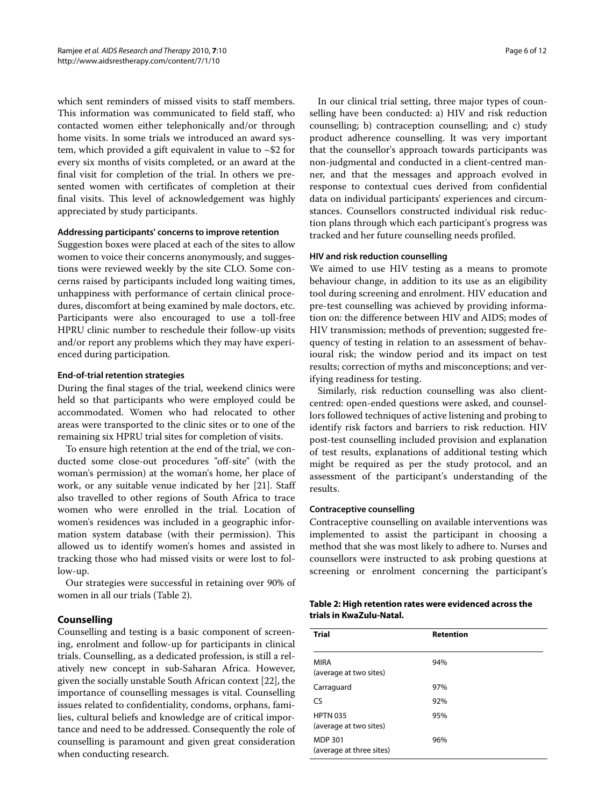which sent reminders of missed visits to staff members. This information was communicated to field staff, who contacted women either telephonically and/or through home visits. In some trials we introduced an award system, which provided a gift equivalent in value to  $\sim$ \$2 for every six months of visits completed, or an award at the final visit for completion of the trial. In others we presented women with certificates of completion at their final visits. This level of acknowledgement was highly appreciated by study participants.

#### **Addressing participants' concerns to improve retention**

Suggestion boxes were placed at each of the sites to allow women to voice their concerns anonymously, and suggestions were reviewed weekly by the site CLO. Some concerns raised by participants included long waiting times, unhappiness with performance of certain clinical procedures, discomfort at being examined by male doctors, etc. Participants were also encouraged to use a toll-free HPRU clinic number to reschedule their follow-up visits and/or report any problems which they may have experienced during participation.

#### **End-of-trial retention strategies**

During the final stages of the trial, weekend clinics were held so that participants who were employed could be accommodated. Women who had relocated to other areas were transported to the clinic sites or to one of the remaining six HPRU trial sites for completion of visits.

To ensure high retention at the end of the trial, we conducted some close-out procedures "off-site" (with the woman's permission) at the woman's home, her place of work, or any suitable venue indicated by her [[21\]](#page-11-0). Staff also travelled to other regions of South Africa to trace women who were enrolled in the trial. Location of women's residences was included in a geographic information system database (with their permission). This allowed us to identify women's homes and assisted in tracking those who had missed visits or were lost to follow-up.

Our strategies were successful in retaining over 90% of women in all our trials (Table 2).

# **Counselling**

Counselling and testing is a basic component of screening, enrolment and follow-up for participants in clinical trials. Counselling, as a dedicated profession, is still a relatively new concept in sub-Saharan Africa. However, given the socially unstable South African context [\[22\]](#page-11-1), the importance of counselling messages is vital. Counselling issues related to confidentiality, condoms, orphans, families, cultural beliefs and knowledge are of critical importance and need to be addressed. Consequently the role of counselling is paramount and given great consideration when conducting research.

In our clinical trial setting, three major types of counselling have been conducted: a) HIV and risk reduction counselling; b) contraception counselling; and c) study product adherence counselling. It was very important that the counsellor's approach towards participants was non-judgmental and conducted in a client-centred manner, and that the messages and approach evolved in response to contextual cues derived from confidential data on individual participants' experiences and circumstances. Counsellors constructed individual risk reduction plans through which each participant's progress was tracked and her future counselling needs profiled.

#### **HIV and risk reduction counselling**

We aimed to use HIV testing as a means to promote behaviour change, in addition to its use as an eligibility tool during screening and enrolment. HIV education and pre-test counselling was achieved by providing information on: the difference between HIV and AIDS; modes of HIV transmission; methods of prevention; suggested frequency of testing in relation to an assessment of behavioural risk; the window period and its impact on test results; correction of myths and misconceptions; and verifying readiness for testing.

Similarly, risk reduction counselling was also clientcentred: open-ended questions were asked, and counsellors followed techniques of active listening and probing to identify risk factors and barriers to risk reduction. HIV post-test counselling included provision and explanation of test results, explanations of additional testing which might be required as per the study protocol, and an assessment of the participant's understanding of the results.

#### **Contraceptive counselling**

Contraceptive counselling on available interventions was implemented to assist the participant in choosing a method that she was most likely to adhere to. Nurses and counsellors were instructed to ask probing questions at screening or enrolment concerning the participant's

# **Table 2: High retention rates were evidenced across the trials in KwaZulu-Natal.**

| <b>Trial</b>                               | <b>Retention</b> |
|--------------------------------------------|------------------|
| <b>MIRA</b><br>(average at two sites)      | 94%              |
| Carraguard                                 | 97%              |
| CS                                         | 92%              |
| <b>HPTN 035</b><br>(average at two sites)  | 95%              |
| <b>MDP 301</b><br>(average at three sites) | 96%              |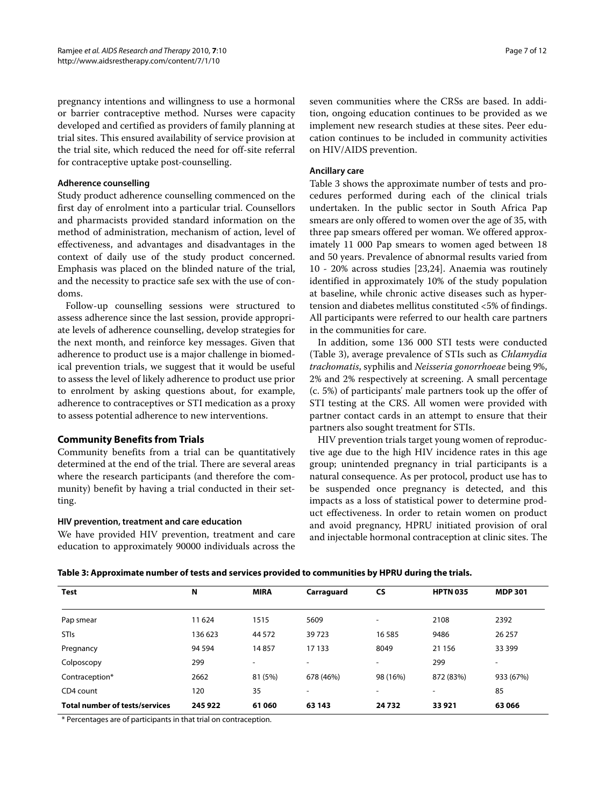pregnancy intentions and willingness to use a hormonal or barrier contraceptive method. Nurses were capacity developed and certified as providers of family planning at trial sites. This ensured availability of service provision at the trial site, which reduced the need for off-site referral for contraceptive uptake post-counselling.

#### **Adherence counselling**

Study product adherence counselling commenced on the first day of enrolment into a particular trial. Counsellors and pharmacists provided standard information on the method of administration, mechanism of action, level of effectiveness, and advantages and disadvantages in the context of daily use of the study product concerned. Emphasis was placed on the blinded nature of the trial, and the necessity to practice safe sex with the use of condoms.

Follow-up counselling sessions were structured to assess adherence since the last session, provide appropriate levels of adherence counselling, develop strategies for the next month, and reinforce key messages. Given that adherence to product use is a major challenge in biomedical prevention trials, we suggest that it would be useful to assess the level of likely adherence to product use prior to enrolment by asking questions about, for example, adherence to contraceptives or STI medication as a proxy to assess potential adherence to new interventions.

# **Community Benefits from Trials**

Community benefits from a trial can be quantitatively determined at the end of the trial. There are several areas where the research participants (and therefore the community) benefit by having a trial conducted in their setting.

# **HIV prevention, treatment and care education**

We have provided HIV prevention, treatment and care education to approximately 90000 individuals across the seven communities where the CRSs are based. In addition, ongoing education continues to be provided as we implement new research studies at these sites. Peer education continues to be included in community activities on HIV/AIDS prevention.

#### **Ancillary care**

Table 3 shows the approximate number of tests and procedures performed during each of the clinical trials undertaken. In the public sector in South Africa Pap smears are only offered to women over the age of 35, with three pap smears offered per woman. We offered approximately 11 000 Pap smears to women aged between 18 and 50 years. Prevalence of abnormal results varied from 10 - 20% across studies [[23,](#page-11-2)[24\]](#page-11-3). Anaemia was routinely identified in approximately 10% of the study population at baseline, while chronic active diseases such as hypertension and diabetes mellitus constituted <5% of findings. All participants were referred to our health care partners in the communities for care.

In addition, some 136 000 STI tests were conducted (Table 3), average prevalence of STIs such as *Chlamydia trachomatis*, syphilis and *Neisseria gonorrhoeae* being 9%, 2% and 2% respectively at screening. A small percentage (c. 5%) of participants' male partners took up the offer of STI testing at the CRS. All women were provided with partner contact cards in an attempt to ensure that their partners also sought treatment for STIs.

HIV prevention trials target young women of reproductive age due to the high HIV incidence rates in this age group; unintended pregnancy in trial participants is a natural consequence. As per protocol, product use has to be suspended once pregnancy is detected, and this impacts as a loss of statistical power to determine product effectiveness. In order to retain women on product and avoid pregnancy, HPRU initiated provision of oral and injectable hormonal contraception at clinic sites. The

|  |  | Table 3: Approximate number of tests and services provided to communities by HPRU during the trials. |  |
|--|--|------------------------------------------------------------------------------------------------------|--|
|  |  |                                                                                                      |  |
|  |  |                                                                                                      |  |
|  |  |                                                                                                      |  |

| Test                                  | N       | <b>MIRA</b>              | Carraguard | CS                       | <b>HPTN 035</b>          | <b>MDP 301</b>           |
|---------------------------------------|---------|--------------------------|------------|--------------------------|--------------------------|--------------------------|
| Pap smear                             | 11624   | 1515                     | 5609       | $\overline{\phantom{a}}$ | 2108                     | 2392                     |
| <b>STIs</b>                           | 136 623 | 44 5 72                  | 39723      | 16 5 85                  | 9486                     | 26 257                   |
| Pregnancy                             | 94 5 94 | 14857                    | 17 133     | 8049                     | 21 15 6                  | 33 3 9 9                 |
| Colposcopy                            | 299     | $\overline{\phantom{a}}$ | ۰          | $\overline{\phantom{a}}$ | 299                      | $\overline{\phantom{a}}$ |
| Contraception*                        | 2662    | 81 (5%)                  | 678 (46%)  | 98 (16%)                 | 872 (83%)                | 933 (67%)                |
| CD4 count                             | 120     | 35                       | ٠.         | $\overline{\phantom{a}}$ | $\overline{\phantom{a}}$ | 85                       |
| <b>Total number of tests/services</b> | 245922  | 61060                    | 63 143     | 24732                    | 33 9 21                  | 63066                    |

\* Percentages are of participants in that trial on contraception.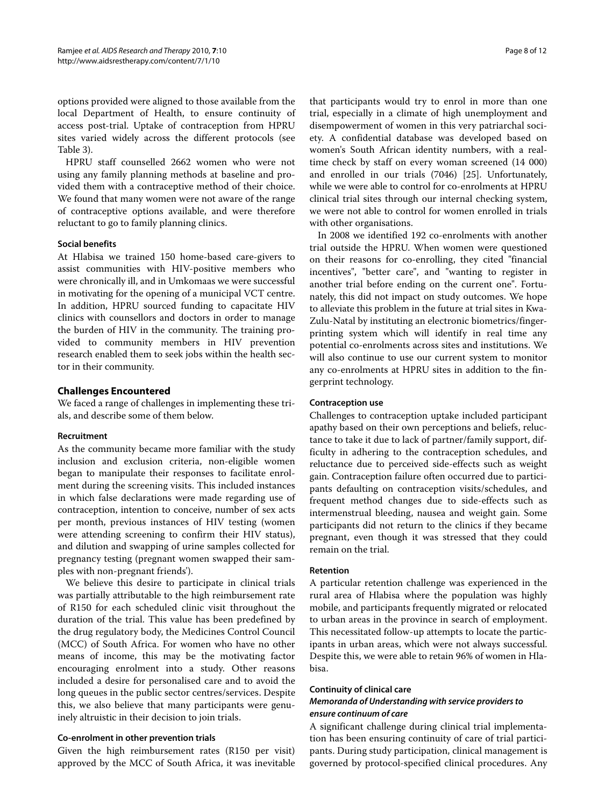options provided were aligned to those available from the local Department of Health, to ensure continuity of access post-trial. Uptake of contraception from HPRU sites varied widely across the different protocols (see Table 3).

HPRU staff counselled 2662 women who were not using any family planning methods at baseline and provided them with a contraceptive method of their choice. We found that many women were not aware of the range of contraceptive options available, and were therefore reluctant to go to family planning clinics.

#### **Social benefits**

At Hlabisa we trained 150 home-based care-givers to assist communities with HIV-positive members who were chronically ill, and in Umkomaas we were successful in motivating for the opening of a municipal VCT centre. In addition, HPRU sourced funding to capacitate HIV clinics with counsellors and doctors in order to manage the burden of HIV in the community. The training provided to community members in HIV prevention research enabled them to seek jobs within the health sector in their community.

# **Challenges Encountered**

We faced a range of challenges in implementing these trials, and describe some of them below.

#### **Recruitment**

As the community became more familiar with the study inclusion and exclusion criteria, non-eligible women began to manipulate their responses to facilitate enrolment during the screening visits. This included instances in which false declarations were made regarding use of contraception, intention to conceive, number of sex acts per month, previous instances of HIV testing (women were attending screening to confirm their HIV status), and dilution and swapping of urine samples collected for pregnancy testing (pregnant women swapped their samples with non-pregnant friends').

We believe this desire to participate in clinical trials was partially attributable to the high reimbursement rate of R150 for each scheduled clinic visit throughout the duration of the trial. This value has been predefined by the drug regulatory body, the Medicines Control Council (MCC) of South Africa. For women who have no other means of income, this may be the motivating factor encouraging enrolment into a study. Other reasons included a desire for personalised care and to avoid the long queues in the public sector centres/services. Despite this, we also believe that many participants were genuinely altruistic in their decision to join trials.

#### **Co-enrolment in other prevention trials**

Given the high reimbursement rates (R150 per visit) approved by the MCC of South Africa, it was inevitable

that participants would try to enrol in more than one trial, especially in a climate of high unemployment and disempowerment of women in this very patriarchal society. A confidential database was developed based on women's South African identity numbers, with a realtime check by staff on every woman screened (14 000) and enrolled in our trials (7046) [[25\]](#page-11-4). Unfortunately, while we were able to control for co-enrolments at HPRU clinical trial sites through our internal checking system, we were not able to control for women enrolled in trials with other organisations.

In 2008 we identified 192 co-enrolments with another trial outside the HPRU. When women were questioned on their reasons for co-enrolling, they cited "financial incentives", "better care", and "wanting to register in another trial before ending on the current one". Fortunately, this did not impact on study outcomes. We hope to alleviate this problem in the future at trial sites in Kwa-Zulu-Natal by instituting an electronic biometrics/fingerprinting system which will identify in real time any potential co-enrolments across sites and institutions. We will also continue to use our current system to monitor any co-enrolments at HPRU sites in addition to the fingerprint technology.

#### **Contraception use**

Challenges to contraception uptake included participant apathy based on their own perceptions and beliefs, reluctance to take it due to lack of partner/family support, difficulty in adhering to the contraception schedules, and reluctance due to perceived side-effects such as weight gain. Contraception failure often occurred due to participants defaulting on contraception visits/schedules, and frequent method changes due to side-effects such as intermenstrual bleeding, nausea and weight gain. Some participants did not return to the clinics if they became pregnant, even though it was stressed that they could remain on the trial.

# **Retention**

A particular retention challenge was experienced in the rural area of Hlabisa where the population was highly mobile, and participants frequently migrated or relocated to urban areas in the province in search of employment. This necessitated follow-up attempts to locate the participants in urban areas, which were not always successful. Despite this, we were able to retain 96% of women in Hlabisa.

# **Continuity of clinical care Memoranda of Understanding with service providers to ensure continuum of care**

A significant challenge during clinical trial implementation has been ensuring continuity of care of trial participants. During study participation, clinical management is governed by protocol-specified clinical procedures. Any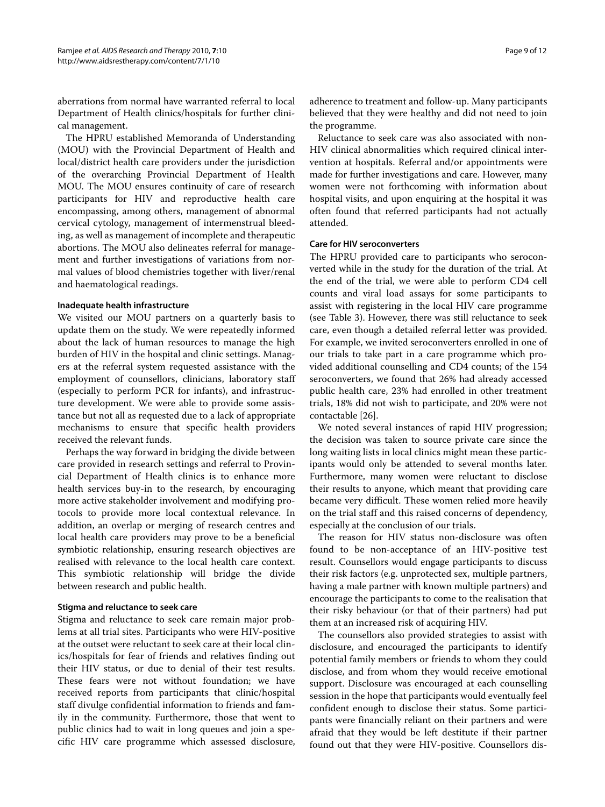aberrations from normal have warranted referral to local Department of Health clinics/hospitals for further clinical management.

The HPRU established Memoranda of Understanding (MOU) with the Provincial Department of Health and local/district health care providers under the jurisdiction of the overarching Provincial Department of Health MOU. The MOU ensures continuity of care of research participants for HIV and reproductive health care encompassing, among others, management of abnormal cervical cytology, management of intermenstrual bleeding, as well as management of incomplete and therapeutic abortions. The MOU also delineates referral for management and further investigations of variations from normal values of blood chemistries together with liver/renal and haematological readings.

#### **Inadequate health infrastructure**

We visited our MOU partners on a quarterly basis to update them on the study. We were repeatedly informed about the lack of human resources to manage the high burden of HIV in the hospital and clinic settings. Managers at the referral system requested assistance with the employment of counsellors, clinicians, laboratory staff (especially to perform PCR for infants), and infrastructure development. We were able to provide some assistance but not all as requested due to a lack of appropriate mechanisms to ensure that specific health providers received the relevant funds.

Perhaps the way forward in bridging the divide between care provided in research settings and referral to Provincial Department of Health clinics is to enhance more health services buy-in to the research, by encouraging more active stakeholder involvement and modifying protocols to provide more local contextual relevance. In addition, an overlap or merging of research centres and local health care providers may prove to be a beneficial symbiotic relationship, ensuring research objectives are realised with relevance to the local health care context. This symbiotic relationship will bridge the divide between research and public health.

#### **Stigma and reluctance to seek care**

Stigma and reluctance to seek care remain major problems at all trial sites. Participants who were HIV-positive at the outset were reluctant to seek care at their local clinics/hospitals for fear of friends and relatives finding out their HIV status, or due to denial of their test results. These fears were not without foundation; we have received reports from participants that clinic/hospital staff divulge confidential information to friends and family in the community. Furthermore, those that went to public clinics had to wait in long queues and join a specific HIV care programme which assessed disclosure, adherence to treatment and follow-up. Many participants believed that they were healthy and did not need to join the programme.

Reluctance to seek care was also associated with non-HIV clinical abnormalities which required clinical intervention at hospitals. Referral and/or appointments were made for further investigations and care. However, many women were not forthcoming with information about hospital visits, and upon enquiring at the hospital it was often found that referred participants had not actually attended.

#### **Care for HIV seroconverters**

The HPRU provided care to participants who seroconverted while in the study for the duration of the trial. At the end of the trial, we were able to perform CD4 cell counts and viral load assays for some participants to assist with registering in the local HIV care programme (see Table 3). However, there was still reluctance to seek care, even though a detailed referral letter was provided. For example, we invited seroconverters enrolled in one of our trials to take part in a care programme which provided additional counselling and CD4 counts; of the 154 seroconverters, we found that 26% had already accessed public health care, 23% had enrolled in other treatment trials, 18% did not wish to participate, and 20% were not contactable [\[26\]](#page-11-5).

We noted several instances of rapid HIV progression; the decision was taken to source private care since the long waiting lists in local clinics might mean these participants would only be attended to several months later. Furthermore, many women were reluctant to disclose their results to anyone, which meant that providing care became very difficult. These women relied more heavily on the trial staff and this raised concerns of dependency, especially at the conclusion of our trials.

The reason for HIV status non-disclosure was often found to be non-acceptance of an HIV-positive test result. Counsellors would engage participants to discuss their risk factors (e.g. unprotected sex, multiple partners, having a male partner with known multiple partners) and encourage the participants to come to the realisation that their risky behaviour (or that of their partners) had put them at an increased risk of acquiring HIV.

The counsellors also provided strategies to assist with disclosure, and encouraged the participants to identify potential family members or friends to whom they could disclose, and from whom they would receive emotional support. Disclosure was encouraged at each counselling session in the hope that participants would eventually feel confident enough to disclose their status. Some participants were financially reliant on their partners and were afraid that they would be left destitute if their partner found out that they were HIV-positive. Counsellors dis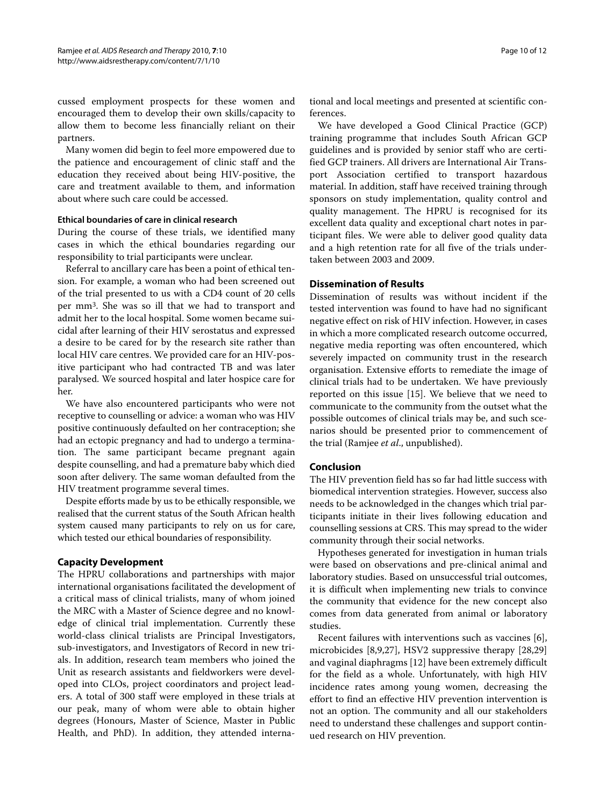cussed employment prospects for these women and encouraged them to develop their own skills/capacity to allow them to become less financially reliant on their partners.

Many women did begin to feel more empowered due to the patience and encouragement of clinic staff and the education they received about being HIV-positive, the care and treatment available to them, and information about where such care could be accessed.

#### **Ethical boundaries of care in clinical research**

During the course of these trials, we identified many cases in which the ethical boundaries regarding our responsibility to trial participants were unclear.

Referral to ancillary care has been a point of ethical tension. For example, a woman who had been screened out of the trial presented to us with a CD4 count of 20 cells per mm3. She was so ill that we had to transport and admit her to the local hospital. Some women became suicidal after learning of their HIV serostatus and expressed a desire to be cared for by the research site rather than local HIV care centres. We provided care for an HIV-positive participant who had contracted TB and was later paralysed. We sourced hospital and later hospice care for her.

We have also encountered participants who were not receptive to counselling or advice: a woman who was HIV positive continuously defaulted on her contraception; she had an ectopic pregnancy and had to undergo a termination. The same participant became pregnant again despite counselling, and had a premature baby which died soon after delivery. The same woman defaulted from the HIV treatment programme several times.

Despite efforts made by us to be ethically responsible, we realised that the current status of the South African health system caused many participants to rely on us for care, which tested our ethical boundaries of responsibility.

# **Capacity Development**

The HPRU collaborations and partnerships with major international organisations facilitated the development of a critical mass of clinical trialists, many of whom joined the MRC with a Master of Science degree and no knowledge of clinical trial implementation. Currently these world-class clinical trialists are Principal Investigators, sub-investigators, and Investigators of Record in new trials. In addition, research team members who joined the Unit as research assistants and fieldworkers were developed into CLOs, project coordinators and project leaders. A total of 300 staff were employed in these trials at our peak, many of whom were able to obtain higher degrees (Honours, Master of Science, Master in Public Health, and PhD). In addition, they attended interna-

tional and local meetings and presented at scientific conferences.

We have developed a Good Clinical Practice (GCP) training programme that includes South African GCP guidelines and is provided by senior staff who are certified GCP trainers. All drivers are International Air Transport Association certified to transport hazardous material. In addition, staff have received training through sponsors on study implementation, quality control and quality management. The HPRU is recognised for its excellent data quality and exceptional chart notes in participant files. We were able to deliver good quality data and a high retention rate for all five of the trials undertaken between 2003 and 2009.

# **Dissemination of Results**

Dissemination of results was without incident if the tested intervention was found to have had no significant negative effect on risk of HIV infection. However, in cases in which a more complicated research outcome occurred, negative media reporting was often encountered, which severely impacted on community trust in the research organisation. Extensive efforts to remediate the image of clinical trials had to be undertaken. We have previously reported on this issue [[15\]](#page-10-14). We believe that we need to communicate to the community from the outset what the possible outcomes of clinical trials may be, and such scenarios should be presented prior to commencement of the trial (Ramjee *et al*., unpublished).

#### **Conclusion**

The HIV prevention field has so far had little success with biomedical intervention strategies. However, success also needs to be acknowledged in the changes which trial participants initiate in their lives following education and counselling sessions at CRS. This may spread to the wider community through their social networks.

Hypotheses generated for investigation in human trials were based on observations and pre-clinical animal and laboratory studies. Based on unsuccessful trial outcomes, it is difficult when implementing new trials to convince the community that evidence for the new concept also comes from data generated from animal or laboratory studies.

Recent failures with interventions such as vaccines [\[6](#page-10-5)], microbicides [\[8](#page-10-12)[,9](#page-10-7)[,27](#page-11-6)], HSV2 suppressive therapy [\[28](#page-11-7),[29](#page-11-8)] and vaginal diaphragms [\[12](#page-10-10)] have been extremely difficult for the field as a whole. Unfortunately, with high HIV incidence rates among young women, decreasing the effort to find an effective HIV prevention intervention is not an option. The community and all our stakeholders need to understand these challenges and support continued research on HIV prevention.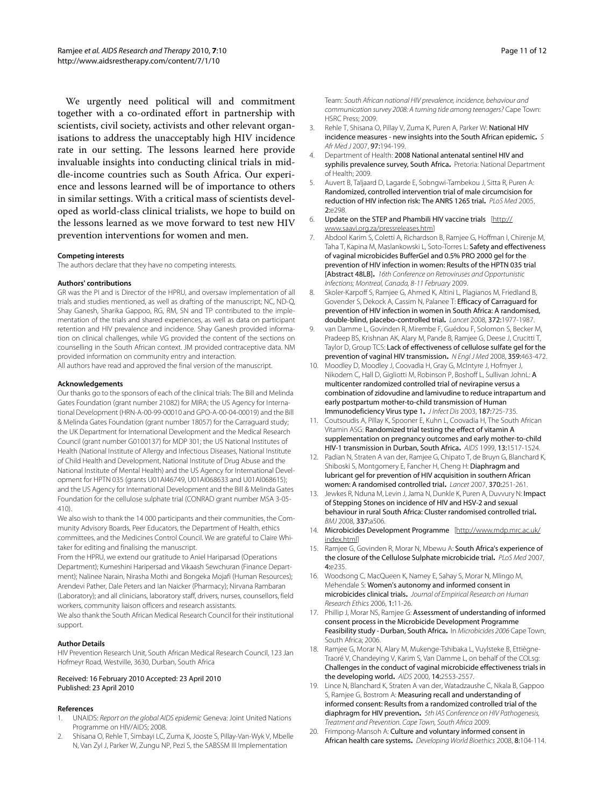We urgently need political will and commitment together with a co-ordinated effort in partnership with scientists, civil society, activists and other relevant organisations to address the unacceptably high HIV incidence rate in our setting. The lessons learned here provide invaluable insights into conducting clinical trials in middle-income countries such as South Africa. Our experience and lessons learned will be of importance to others in similar settings. With a critical mass of scientists developed as world-class clinical trialists, we hope to build on the lessons learned as we move forward to test new HIV prevention interventions for women and men.

#### **Competing interests**

The authors declare that they have no competing interests.

#### **Authors' contributions**

GR was the PI and is Director of the HPRU, and oversaw implementation of all trials and studies mentioned, as well as drafting of the manuscript; NC, ND-Q, Shay Ganesh, Sharika Gappoo, RG, RM, SN and TP contributed to the implementation of the trials and shared experiences, as well as data on participant retention and HIV prevalence and incidence. Shay Ganesh provided information on clinical challenges, while VG provided the content of the sections on counselling in the South African context. JM provided contraceptive data. NM provided information on community entry and interaction.

All authors have read and approved the final version of the manuscript.

#### **Acknowledgements**

Our thanks go to the sponsors of each of the clinical trials: The Bill and Melinda Gates Foundation (grant number 21082) for MIRA; the US Agency for International Development (HRN-A-00-99-00010 and GPO-A-00-04-00019) and the Bill & Melinda Gates Foundation (grant number 18057) for the Carraguard study; the UK Department for International Development and the Medical Research Council (grant number G0100137) for MDP 301; the US National Institutes of Health (National Institute of Allergy and Infectious Diseases, National Institute of Child Health and Development, National Institute of Drug Abuse and the National Institute of Mental Health) and the US Agency for International Development for HPTN 035 (grants U01AI46749, U01AI068633 and U01AI068615); and the US Agency for International Development and the Bill & Melinda Gates Foundation for the cellulose sulphate trial (CONRAD grant number MSA 3-05- 410).

We also wish to thank the 14 000 participants and their communities, the Community Advisory Boards, Peer Educators, the Department of Health, ethics committees, and the Medicines Control Council. We are grateful to Claire Whitaker for editing and finalising the manuscript.

From the HPRU, we extend our gratitude to Aniel Hariparsad (Operations Department); Kumeshini Haripersad and Vikaash Sewchuran (Finance Department); Nalinee Narain, Nirasha Mothi and Bongeka Mojafi (Human Resources); Arendevi Pather, Dale Peters and Ian Naicker (Pharmacy); Nirvana Rambaran (Laboratory); and all clinicians, laboratory staff, drivers, nurses, counsellors, field workers, community liaison officers and research assistants.

We also thank the South African Medical Research Council for their institutional support.

#### **Author Details**

HIV Prevention Research Unit, South African Medical Research Council, 123 Jan Hofmeyr Road, Westville, 3630, Durban, South Africa

#### Received: 16 February 2010 Accepted: 23 April 2010 Published: 23 April 2010

#### **References**

- <span id="page-10-0"></span>UNAIDS: Report on the global AIDS epidemic Geneva: Joint United Nations Programme on HIV/AIDS: 2008.
- <span id="page-10-1"></span>2. Shisana O, Rehle T, Simbayi LC, Zuma K, Jooste S, Pillay-Van-Wyk V, Mbelle N, Van Zyl J, Parker W, Zungu NP, Pezi S, the SABSSM III Implementation
- <span id="page-10-2"></span>3. Rehle T, Shisana O, Pillay V, Zuma K, Puren A, Parker W: National HIV incidence measures - new insights into the South African epidemic**.** S Afr Med J 2007, 97:194-199.
- <span id="page-10-3"></span>4. Department of Health: 2008 National antenatal sentinel HIV and syphilis prevalence survey, South Africa**.** Pretoria: National Department of Health; 2009.
- <span id="page-10-4"></span>5. Auvert B, Taljaard D, Lagarde E, Sobngwi-Tambekou J, Sitta R, Puren A: Randomized, controlled intervention trial of male circumcision for reduction of HIV infection risk: The ANRS 1265 trial**[.](http://www.ncbi.nlm.nih.gov/entrez/query.fcgi?cmd=Retrieve&db=PubMed&dopt=Abstract&list_uids=16231970)** PLoS Med 2005,  $2.6298$
- <span id="page-10-5"></span>6. Update on the STEP and Phambili HIV vaccine trials [\[http://](http://www.saavi.org.za/pressreleases.htm) [www.saavi.org.za/pressreleases.htm](http://www.saavi.org.za/pressreleases.htm)]
- <span id="page-10-6"></span>7. Abdool Karim S, Coletti A, Richardson B, Ramjee G, Hoffman I, Chirenje M, Taha T, Kapina M, Maslankowski L, Soto-Torres L: Safety and effectiveness of vaginal microbicides BufferGel and 0.5% PRO 2000 gel for the prevention of HIV infection in women: Results of the HPTN 035 trial [Abstract 48LB]**.** 16th Conference on Retroviruses and Opportunistic Infections; Montreal, Canada, 8-11 February 2009.
- <span id="page-10-12"></span>8. Skoler-Karpoff S, Ramjee G, Ahmed K, Altini L, Plagianos M, Friedland B, Govender S, Dekock A, Cassim N, Palanee T: Efficacy of Carraguard for prevention of HIV infection in women in South Africa: A randomised, double-blind, placebo-controlled trial**.** Lancet 2008, 372:1977-1987.
- <span id="page-10-7"></span>9. van Damme L, Govinden R, Mirembe F, Guédou F, Solomon S, Becker M, Pradeep BS, Krishnan AK, Alary M, Pande B, Ramjee G, Deese J, Crucitti T, Taylor D, Group TCS: Lack of effectiveness of cellulose sulfate gel for the prevention of vaginal HIV transmission**.** N Engl J Med 2008, 359:463-472.
- <span id="page-10-8"></span>10. Moodley D, Moodley J, Coovadia H, Gray G, McIntyre J, Hofmyer J, Nikodem C, Hall D, Gigliotti M, Robinson P, Boshoff L, Sullivan JohnL: A multicenter randomized controlled trial of nevirapine versus a combination of zidovudine and lamivudine to reduce intrapartum and early postpartum mother-to-child transmission of Human Immunodeficiency Virus type 1**.** J Infect Dis 2003, 187:725-735.
- <span id="page-10-9"></span>11. Coutsoudis A, Pillay K, Spooner E, Kuhn L, Coovadia H, The South African Vitamin ASG: Randomized trial testing the effect of vitamin A supplementation on pregnancy outcomes and early mother-to-child HIV-1 transmission in Durban, South Africa**.** AIDS 1999, 13:1517-1524.
- <span id="page-10-10"></span>12. Padian N, Straten A van der, Ramjee G, Chipato T, de Bruyn G, Blanchard K, Shiboski S, Montgomery E, Fancher H, Cheng H: Diaphragm and lubricant gel for prevention of HIV acquisition in southern African women: A randomised controlled trial**.** Lancet 2007, 370:251-261.
- <span id="page-10-11"></span>13. Jewkes R, Nduna M, Levin J, Jama N, Dunkle K, Puren A, Duvvury N: Impact of Stepping Stones on incidence of HIV and HSV-2 and sexual behaviour in rural South Africa: Cluster randomised controlled trial**.** BMJ 2008, 337:a506.
- <span id="page-10-13"></span>14. Microbicides Development Programme [\[http://www.mdp.mrc.ac.uk/](http://www.mdp.mrc.ac.uk/index.html) [index.html\]](http://www.mdp.mrc.ac.uk/index.html)
- <span id="page-10-14"></span>15. Ramjee G, Govinden R, Morar N, Mbewu A: South Africa's experience of the closure of the Cellulose Sulphate microbicide trial**.** PLoS Med 2007, 4:e235.
- <span id="page-10-15"></span>16. Woodsong C, MacQueen K, Namey E, Sahay S, Morar N, Mlingo M, Mehendale S: Women's autonomy and informed consent in microbicides clinical trials**[.](http://www.ncbi.nlm.nih.gov/entrez/query.fcgi?cmd=Retrieve&db=PubMed&dopt=Abstract&list_uids=19385819)** Journal of Empirical Research on Human Research Ethics 2006, 1:11-26.
- <span id="page-10-16"></span>17. Phillip J, Morar NS, Ramjee G: Assessment of understanding of informed consent process in the Microbicide Development Programme Feasibility study - Durban, South Africa**.** In Microbicides 2006 Cape Town, South Africa; 2006.
- <span id="page-10-17"></span>18. Ramjee G, Morar N, Alary M, Mukenge-Tshibaka L, Vuylsteke B, Ettiègne-Traoré V, Chandeying V, Karim S, Van Damme L, on behalf of the COLsg: Challenges in the conduct of vaginal microbicide effectiveness trials in the developing world**.** AIDS 2000, 14:2553-2557.
- <span id="page-10-18"></span>19. Lince N, Blanchard K, Straten A van der, Watadzaushe C, Nkala B, Gappoo S, Ramjee G, Bostrom A: Measuring recall and understanding of informed consent: Results from a randomized controlled trial of the diaphragm for HIV prevention. 5th IAS Conference on HIV Pathogenesis, Treatment and Prevention. Cape Town, South Africa 2009.
- <span id="page-10-19"></span>20. Frimpong-Mansoh A: Culture and voluntary informed consent in African health care systems**[.](http://www.ncbi.nlm.nih.gov/entrez/query.fcgi?cmd=Retrieve&db=PubMed&dopt=Abstract&list_uids=19143087)** Developing World Bioethics 2008, 8:104-114.